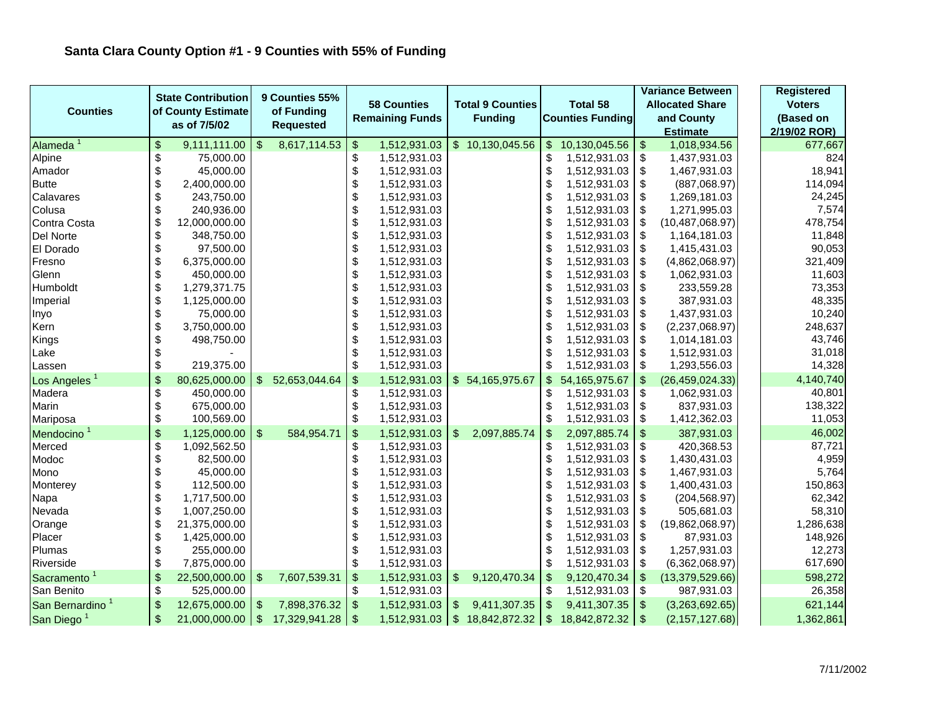| <b>Counties</b>             |                           | <b>State Contribution</b><br>of County Estimate |                         | 9 Counties 55%<br>of Funding |                           | <b>58 Counties</b><br><b>Remaining Funds</b> |               | <b>Total 9 Counties</b><br><b>Funding</b> |                           | <b>Total 58</b><br><b>Counties Funding</b> |                           | <b>Variance Between</b><br><b>Allocated Share</b><br>and County |  | <b>Registered</b> |
|-----------------------------|---------------------------|-------------------------------------------------|-------------------------|------------------------------|---------------------------|----------------------------------------------|---------------|-------------------------------------------|---------------------------|--------------------------------------------|---------------------------|-----------------------------------------------------------------|--|-------------------|
|                             |                           |                                                 |                         |                              |                           |                                              |               |                                           |                           |                                            |                           |                                                                 |  | <b>Voters</b>     |
|                             |                           |                                                 |                         |                              |                           |                                              |               |                                           |                           |                                            |                           |                                                                 |  | (Based on         |
|                             |                           | as of 7/5/02                                    |                         | <b>Requested</b>             |                           |                                              |               |                                           |                           |                                            |                           | <b>Estimate</b>                                                 |  | 2/19/02 ROR)      |
| Alameda <sup>1</sup>        | $\boldsymbol{\mathsf{S}}$ | 9,111,111.00                                    | $\sqrt{2}$              | 8,617,114.53                 | $\frac{1}{2}$             | 1,512,931.03                                 |               | \$10,130,045.56                           | $\sqrt[6]{\frac{1}{2}}$   | 10,130,045.56                              | $\boldsymbol{\$}$         | 1,018,934.56                                                    |  | 677,667           |
| Alpine                      | \$                        | 75,000.00                                       |                         |                              | \$                        | 1,512,931.03                                 |               |                                           | \$                        | 1,512,931.03                               | \$                        | 1,437,931.03                                                    |  | 824               |
| Amador                      | \$                        | 45,000.00                                       |                         |                              | \$                        | 1,512,931.03                                 |               |                                           | \$                        | 1,512,931.03                               | \$                        | 1,467,931.03                                                    |  | 18,941            |
| <b>Butte</b>                | \$                        | 2,400,000.00                                    |                         |                              | \$                        | 1,512,931.03                                 |               |                                           | \$                        | 1,512,931.03                               | \$                        | (887,068.97)                                                    |  | 114,094           |
| Calavares                   | \$                        | 243,750.00                                      |                         |                              | \$                        | 1,512,931.03                                 |               |                                           | \$                        | 1,512,931.03                               | \$                        | 1,269,181.03                                                    |  | 24,245            |
| Colusa                      | \$                        | 240,936.00                                      |                         |                              | \$                        | 1,512,931.03                                 |               |                                           | \$                        | 1,512,931.03                               | \$                        | 1,271,995.03                                                    |  | 7,574             |
| Contra Costa                | \$                        | 12,000,000.00                                   |                         |                              | \$                        | 1,512,931.03                                 |               |                                           | \$                        | 1,512,931.03                               | \$                        | (10, 487, 068.97)                                               |  | 478,754           |
| Del Norte                   | \$                        | 348,750.00                                      |                         |                              | \$                        | 1,512,931.03                                 |               |                                           | \$                        | 1,512,931.03                               | \$                        | 1,164,181.03                                                    |  | 11,848            |
| El Dorado                   | \$                        | 97,500.00                                       |                         |                              | \$                        | 1,512,931.03                                 |               |                                           | \$                        | 1,512,931.03                               | \$                        | 1,415,431.03                                                    |  | 90,053            |
| Fresno                      | \$                        | 6,375,000.00                                    |                         |                              | \$                        | 1,512,931.03                                 |               |                                           | \$                        | 1,512,931.03                               | \$                        | (4,862,068.97)                                                  |  | 321,409           |
| Glenn                       | $\boldsymbol{\mathsf{S}}$ | 450,000.00                                      |                         |                              | \$                        | 1,512,931.03                                 |               |                                           | \$                        | 1,512,931.03                               | \$                        | 1,062,931.03                                                    |  | 11,603            |
| Humboldt                    | \$                        | 1,279,371.75                                    |                         |                              | \$                        | 1,512,931.03                                 |               |                                           | \$                        | 1,512,931.03                               | \$                        | 233,559.28                                                      |  | 73,353            |
| Imperial                    | \$                        | 1,125,000.00                                    |                         |                              | $\boldsymbol{\mathsf{S}}$ | 1,512,931.03                                 |               |                                           | \$                        | 1,512,931.03                               | \$                        | 387,931.03                                                      |  | 48,335            |
| Inyo                        | \$                        | 75,000.00                                       |                         |                              | \$                        | 1,512,931.03                                 |               |                                           | \$                        | 1,512,931.03                               | \$                        | 1,437,931.03                                                    |  | 10,240            |
| Kern                        | \$                        | 3,750,000.00                                    |                         |                              | \$                        | 1,512,931.03                                 |               |                                           | \$                        | 1,512,931.03                               | \$                        | (2,237,068.97)                                                  |  | 248,637           |
| Kings                       | \$                        | 498,750.00                                      |                         |                              | \$                        | 1,512,931.03                                 |               |                                           | \$                        | 1,512,931.03                               | \$                        | 1,014,181.03                                                    |  | 43,746            |
| Lake                        | $\boldsymbol{\mathsf{S}}$ |                                                 |                         |                              | \$                        | 1,512,931.03                                 |               |                                           | \$                        | 1,512,931.03                               | \$                        | 1,512,931.03                                                    |  | 31,018            |
| Lassen                      | \$                        | 219,375.00                                      |                         |                              | $\boldsymbol{\mathsf{S}}$ | 1,512,931.03                                 |               |                                           | \$                        | 1,512,931.03                               | \$                        | 1,293,556.03                                                    |  | 14,328            |
| Los Angeles <sup>1</sup>    | \$                        | 80,625,000.00                                   |                         | \$ 52,653,044.64             | $\boldsymbol{\mathsf{S}}$ | 1,512,931.03                                 |               | \$54,165,975.67                           | $\sqrt[6]{\frac{1}{2}}$   | 54, 165, 975. 67                           | $\mathfrak{S}$            | (26, 459, 024.33)                                               |  | 4,140,740         |
| Madera                      | \$                        | 450,000.00                                      |                         |                              | \$                        | 1,512,931.03                                 |               |                                           | \$                        | 1,512,931.03                               | \$                        | 1,062,931.03                                                    |  | 40,801            |
| Marin                       | $\boldsymbol{\mathsf{S}}$ | 675,000.00                                      |                         |                              | \$                        | 1,512,931.03                                 |               |                                           | \$                        | 1,512,931.03                               | \$                        | 837,931.03                                                      |  | 138,322           |
| Mariposa                    | $\boldsymbol{\mathsf{S}}$ | 100,569.00                                      |                         |                              | \$                        | 1,512,931.03                                 |               |                                           | \$                        | 1,512,931.03                               | \$                        | 1,412,362.03                                                    |  | 11,053            |
| Mendocino <sup>1</sup>      | \$                        | 1,125,000.00                                    | $\sqrt[6]{\frac{1}{2}}$ | 584,954.71                   | \$                        | 1,512,931.03                                 | $\mathbb{S}$  | 2,097,885.74                              | $\boldsymbol{\mathsf{S}}$ | 2,097,885.74                               | $\boldsymbol{\mathsf{S}}$ | 387,931.03                                                      |  | 46,002            |
| Merced                      | \$                        | 1,092,562.50                                    |                         |                              | \$                        | 1,512,931.03                                 |               |                                           | \$                        | 1,512,931.03                               | \$                        | 420,368.53                                                      |  | 87,721            |
| Modoc                       | \$                        | 82,500.00                                       |                         |                              | \$                        | 1,512,931.03                                 |               |                                           | \$                        | 1,512,931.03                               | \$                        | 1,430,431.03                                                    |  | 4,959             |
| Mono                        | \$                        | 45,000.00                                       |                         |                              | \$                        | 1,512,931.03                                 |               |                                           | \$                        | 1,512,931.03                               | \$                        | 1,467,931.03                                                    |  | 5,764             |
| Monterey                    | \$                        | 112,500.00                                      |                         |                              | \$                        | 1,512,931.03                                 |               |                                           | \$                        | 1,512,931.03                               | \$                        | 1,400,431.03                                                    |  | 150,863           |
| Napa                        | \$                        | 1,717,500.00                                    |                         |                              | \$                        | 1,512,931.03                                 |               |                                           | \$                        | 1,512,931.03                               | \$                        | (204, 568.97)                                                   |  | 62,342            |
| Nevada                      | \$                        | 1,007,250.00                                    |                         |                              | \$                        | 1,512,931.03                                 |               |                                           | \$                        | 1,512,931.03                               | \$                        | 505,681.03                                                      |  | 58,310            |
| Orange                      | \$                        | 21,375,000.00                                   |                         |                              | \$                        | 1,512,931.03                                 |               |                                           | \$                        | 1,512,931.03                               | \$                        | (19,862,068.97)                                                 |  | 1,286,638         |
| Placer                      | \$                        | 1,425,000.00                                    |                         |                              | \$                        | 1,512,931.03                                 |               |                                           | \$                        | 1,512,931.03                               | \$                        | 87,931.03                                                       |  | 148,926           |
| Plumas                      | $\boldsymbol{\mathsf{S}}$ | 255,000.00                                      |                         |                              | \$                        | 1,512,931.03                                 |               |                                           | \$                        | 1,512,931.03                               | \$                        | 1,257,931.03                                                    |  | 12,273            |
| Riverside                   | \$                        | 7,875,000.00                                    |                         |                              | \$                        | 1,512,931.03                                 |               |                                           | \$                        | 1,512,931.03                               | \$                        | (6,362,068.97)                                                  |  | 617,690           |
| Sacramento <sup>1</sup>     | $\frac{1}{2}$             | 22,500,000.00                                   | \$                      | 7,607,539.31                 | $\boldsymbol{\mathsf{S}}$ | 1,512,931.03                                 | $\frac{1}{2}$ | 9,120,470.34                              | $\boldsymbol{\mathsf{S}}$ | 9,120,470.34                               | $\boldsymbol{\mathsf{S}}$ | (13, 379, 529.66)                                               |  | 598,272           |
| San Benito                  | \$                        | 525,000.00                                      |                         |                              | \$                        | 1,512,931.03                                 |               |                                           | \$                        | 1,512,931.03                               | \$                        | 987,931.03                                                      |  | 26,358            |
| San Bernardino <sup>1</sup> | $\mathfrak{S}$            | 12,675,000.00                                   | \$                      | 7,898,376.32                 | $\sqrt{2}$                | 1,512,931.03                                 | \$            | 9,411,307.35                              | $\sqrt[6]{3}$             | 9,411,307.35                               | $\boldsymbol{\mathsf{S}}$ | (3,263,692.65)                                                  |  | 621,144           |
| San Diego <sup>1</sup>      | $\mathfrak{S}$            | 21,000,000.00                                   | $\sqrt{3}$              | 17,329,941.28                | \$                        | 1,512,931.03                                 |               | \$18,842,872.32                           | $\overline{\mathbf{3}}$   | 18,842,872.32                              | $\mathfrak{S}$            | (2, 157, 127.68)                                                |  | 1,362,861         |